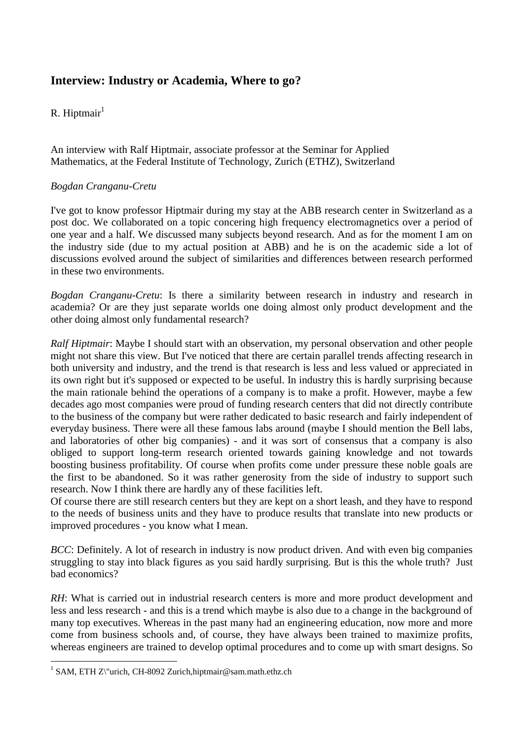# **Interview: Industry or Academia, Where to go?**

# R. Hiptmair $1$

An interview with Ralf Hiptmair, associate professor at the Seminar for Applied Mathematics, at the Federal Institute of Technology, Zurich (ETHZ), Switzerland

## *Bogdan Cranganu-Cretu*

I've got to know professor Hiptmair during my stay at the ABB research center in Switzerland as a post doc. We collaborated on a topic concering high frequency electromagnetics over a period of one year and a half. We discussed many subjects beyond research. And as for the moment I am on the industry side (due to my actual position at ABB) and he is on the academic side a lot of discussions evolved around the subject of similarities and differences between research performed in these two environments.

*Bogdan Cranganu-Cretu*: Is there a similarity between research in industry and research in academia? Or are they just separate worlds one doing almost only product development and the other doing almost only fundamental research?

*Ralf Hiptmair*: Maybe I should start with an observation, my personal observation and other people might not share this view. But I've noticed that there are certain parallel trends affecting research in both university and industry, and the trend is that research is less and less valued or appreciated in its own right but it's supposed or expected to be useful. In industry this is hardly surprising because the main rationale behind the operations of a company is to make a profit. However, maybe a few decades ago most companies were proud of funding research centers that did not directly contribute to the business of the company but were rather dedicated to basic research and fairly independent of everyday business. There were all these famous labs around (maybe I should mention the Bell labs, and laboratories of other big companies) - and it was sort of consensus that a company is also obliged to support long-term research oriented towards gaining knowledge and not towards boosting business profitability. Of course when profits come under pressure these noble goals are the first to be abandoned. So it was rather generosity from the side of industry to support such research. Now I think there are hardly any of these facilities left.

Of course there are still research centers but they are kept on a short leash, and they have to respond to the needs of business units and they have to produce results that translate into new products or improved procedures - you know what I mean.

*BCC*: Definitely. A lot of research in industry is now product driven. And with even big companies struggling to stay into black figures as you said hardly surprising. But is this the whole truth? Just bad economics?

*RH*: What is carried out in industrial research centers is more and more product development and less and less research - and this is a trend which maybe is also due to a change in the background of many top executives. Whereas in the past many had an engineering education, now more and more come from business schools and, of course, they have always been trained to maximize profits, whereas engineers are trained to develop optimal procedures and to come up with smart designs. So

 1 SAM, ETH Z\"urich, CH-8092 Zurich,hiptmair@sam.math.ethz.ch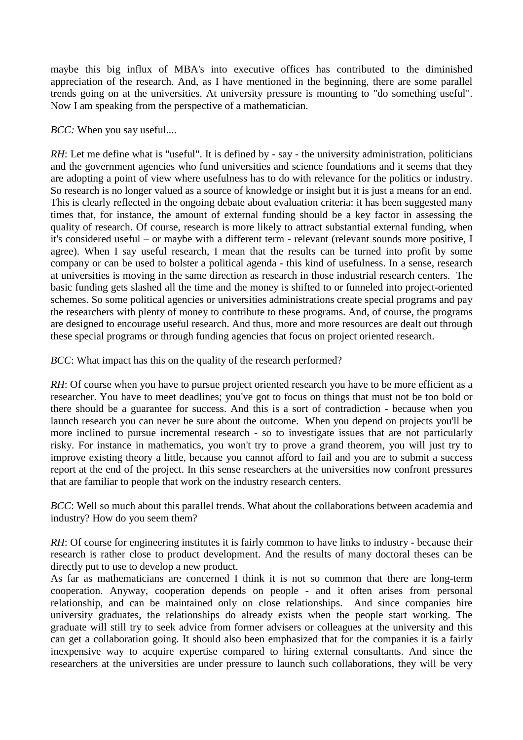maybe this big influx of MBA's into executive offices has contributed to the diminished appreciation of the research. And, as I have mentioned in the beginning, there are some parallel trends going on at the universities. At university pressure is mounting to "do something useful". Now I am speaking from the perspective of a mathematician.

#### *BCC:* When you say useful....

*RH*: Let me define what is "useful". It is defined by - say - the university administration, politicians and the government agencies who fund universities and science foundations and it seems that they are adopting a point of view where usefulness has to do with relevance for the politics or industry. So research is no longer valued as a source of knowledge or insight but it is just a means for an end. This is clearly reflected in the ongoing debate about evaluation criteria: it has been suggested many times that, for instance, the amount of external funding should be a key factor in assessing the quality of research. Of course, research is more likely to attract substantial external funding, when it's considered useful – or maybe with a different term - relevant (relevant sounds more positive, I agree). When I say useful research, I mean that the results can be turned into profit by some company or can be used to bolster a political agenda - this kind of usefulness. In a sense, research at universities is moving in the same direction as research in those industrial research centers. The basic funding gets slashed all the time and the money is shifted to or funneled into project-oriented schemes. So some political agencies or universities administrations create special programs and pay the researchers with plenty of money to contribute to these programs. And, of course, the programs are designed to encourage useful research. And thus, more and more resources are dealt out through these special programs or through funding agencies that focus on project oriented research.

*BCC*: What impact has this on the quality of the research performed?

*RH*: Of course when you have to pursue project oriented research you have to be more efficient as a researcher. You have to meet deadlines; you've got to focus on things that must not be too bold or there should be a guarantee for success. And this is a sort of contradiction - because when you launch research you can never be sure about the outcome. When you depend on projects you'll be more inclined to pursue incremental research - so to investigate issues that are not particularly risky. For instance in mathematics, you won't try to prove a grand theorem, you will just try to improve existing theory a little, because you cannot afford to fail and you are to submit a success report at the end of the project. In this sense researchers at the universities now confront pressures that are familiar to people that work on the industry research centers.

*BCC*: Well so much about this parallel trends. What about the collaborations between academia and industry? How do you seem them?

*RH*: Of course for engineering institutes it is fairly common to have links to industry - because their research is rather close to product development. And the results of many doctoral theses can be directly put to use to develop a new product.

As far as mathematicians are concerned I think it is not so common that there are long-term cooperation. Anyway, cooperation depends on people - and it often arises from personal relationship, and can be maintained only on close relationships. And since companies hire university graduates, the relationships do already exists when the people start working. The graduate will still try to seek advice from former advisers or colleagues at the university and this can get a collaboration going. It should also been emphasized that for the companies it is a fairly inexpensive way to acquire expertise compared to hiring external consultants. And since the researchers at the universities are under pressure to launch such collaborations, they will be very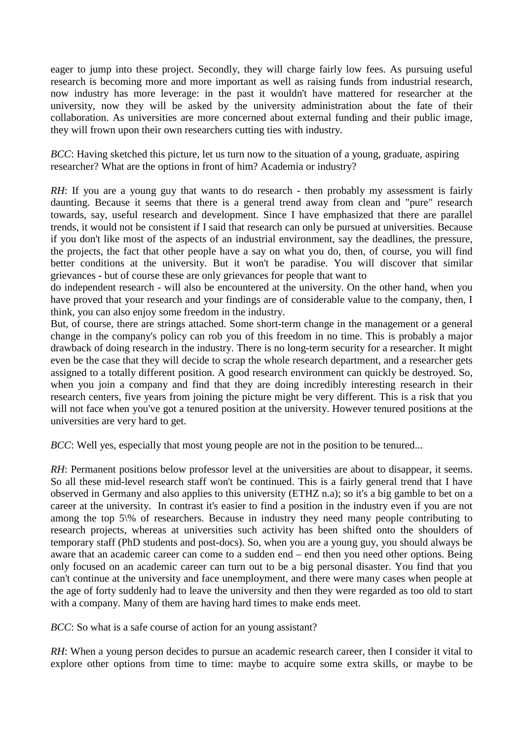eager to jump into these project. Secondly, they will charge fairly low fees. As pursuing useful research is becoming more and more important as well as raising funds from industrial research, now industry has more leverage: in the past it wouldn't have mattered for researcher at the university, now they will be asked by the university administration about the fate of their collaboration. As universities are more concerned about external funding and their public image, they will frown upon their own researchers cutting ties with industry.

*BCC*: Having sketched this picture, let us turn now to the situation of a young, graduate, aspiring researcher? What are the options in front of him? Academia or industry?

*RH*: If you are a young guy that wants to do research - then probably my assessment is fairly daunting. Because it seems that there is a general trend away from clean and "pure" research towards, say, useful research and development. Since I have emphasized that there are parallel trends, it would not be consistent if I said that research can only be pursued at universities. Because if you don't like most of the aspects of an industrial environment, say the deadlines, the pressure, the projects, the fact that other people have a say on what you do, then, of course, you will find better conditions at the university. But it won't be paradise. You will discover that similar grievances - but of course these are only grievances for people that want to

do independent research - will also be encountered at the university. On the other hand, when you have proved that your research and your findings are of considerable value to the company, then, I think, you can also enjoy some freedom in the industry.

But, of course, there are strings attached. Some short-term change in the management or a general change in the company's policy can rob you of this freedom in no time. This is probably a major drawback of doing research in the industry. There is no long-term security for a researcher. It might even be the case that they will decide to scrap the whole research department, and a researcher gets assigned to a totally different position. A good research environment can quickly be destroyed. So, when you join a company and find that they are doing incredibly interesting research in their research centers, five years from joining the picture might be very different. This is a risk that you will not face when you've got a tenured position at the university. However tenured positions at the universities are very hard to get.

*BCC*: Well yes, especially that most young people are not in the position to be tenured...

*RH*: Permanent positions below professor level at the universities are about to disappear, it seems. So all these mid-level research staff won't be continued. This is a fairly general trend that I have observed in Germany and also applies to this university (ETHZ n.a); so it's a big gamble to bet on a career at the university. In contrast it's easier to find a position in the industry even if you are not among the top  $5\%$  of researchers. Because in industry they need many people contributing to research projects, whereas at universities such activity has been shifted onto the shoulders of temporary staff (PhD students and post-docs). So, when you are a young guy, you should always be aware that an academic career can come to a sudden end – end then you need other options. Being only focused on an academic career can turn out to be a big personal disaster. You find that you can't continue at the university and face unemployment, and there were many cases when people at the age of forty suddenly had to leave the university and then they were regarded as too old to start with a company. Many of them are having hard times to make ends meet.

*BCC*: So what is a safe course of action for an young assistant?

*RH*: When a young person decides to pursue an academic research career, then I consider it vital to explore other options from time to time: maybe to acquire some extra skills, or maybe to be